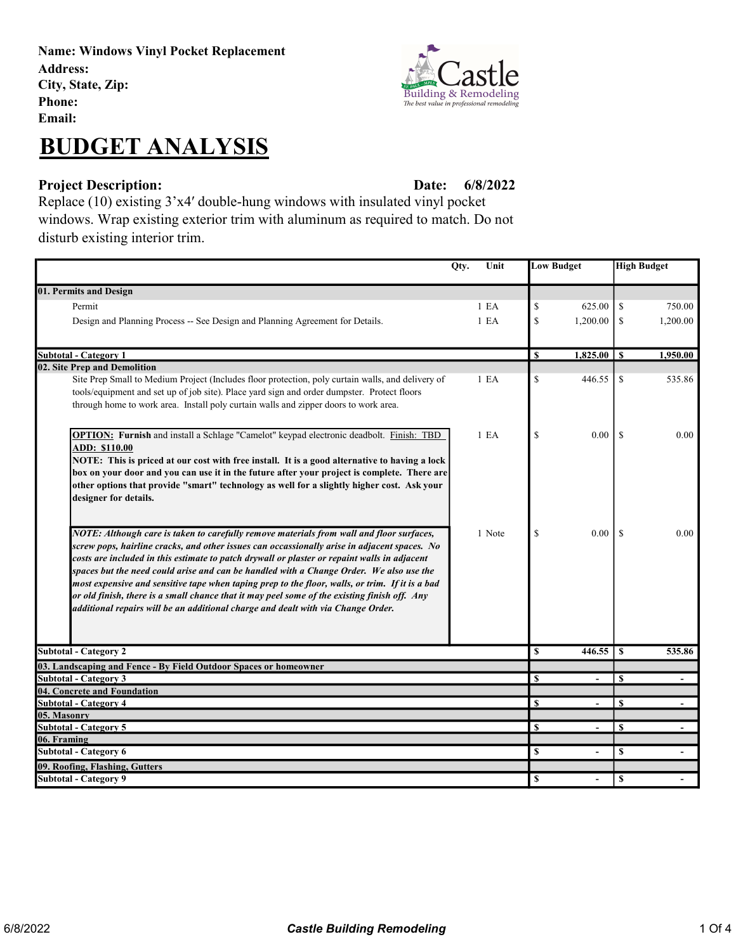Name: Windows Vinyl Pocket Replacement Address: City, State, Zip: Phone: Email:



## Project Description: Date: Date:

6/8/2022

Replace (10) existing 3'x4′ double-hung windows with insulated vinyl pocket windows. Wrap existing exterior trim with aluminum as required to match. Do not disturb existing interior trim.

|                                                                                                                                                                                                                                                                                                                                                                                                                                                                                                                                                                                                                                                                            | Qty.<br>Unit     |              | <b>Low Budget</b> | <b>High Budget</b> |                |
|----------------------------------------------------------------------------------------------------------------------------------------------------------------------------------------------------------------------------------------------------------------------------------------------------------------------------------------------------------------------------------------------------------------------------------------------------------------------------------------------------------------------------------------------------------------------------------------------------------------------------------------------------------------------------|------------------|--------------|-------------------|--------------------|----------------|
| 01. Permits and Design                                                                                                                                                                                                                                                                                                                                                                                                                                                                                                                                                                                                                                                     |                  |              |                   |                    |                |
| Permit                                                                                                                                                                                                                                                                                                                                                                                                                                                                                                                                                                                                                                                                     | 1 E A            | \$           | 625.00            | \$                 | 750.00         |
| Design and Planning Process -- See Design and Planning Agreement for Details.                                                                                                                                                                                                                                                                                                                                                                                                                                                                                                                                                                                              | 1 E A            | \$           | 1,200.00          | <sup>\$</sup>      | 1,200.00       |
| <b>Subtotal - Category 1</b>                                                                                                                                                                                                                                                                                                                                                                                                                                                                                                                                                                                                                                               |                  | $\mathbf S$  | $1,825.00$   \$   |                    | 1,950.00       |
| 02. Site Prep and Demolition                                                                                                                                                                                                                                                                                                                                                                                                                                                                                                                                                                                                                                               |                  |              |                   |                    |                |
| Site Prep Small to Medium Project (Includes floor protection, poly curtain walls, and delivery of<br>tools/equipment and set up of job site). Place yard sign and order dumpster. Protect floors<br>through home to work area. Install poly curtain walls and zipper doors to work area.                                                                                                                                                                                                                                                                                                                                                                                   | 1 E <sub>A</sub> | \$           | 446.55            | \$                 | 535.86         |
| OPTION: Furnish and install a Schlage "Camelot" keypad electronic deadbolt. Finish: TBD<br>ADD: \$110.00<br>NOTE: This is priced at our cost with free install. It is a good alternative to having a lock<br>box on your door and you can use it in the future after your project is complete. There are<br>other options that provide "smart" technology as well for a slightly higher cost. Ask your<br>designer for details.                                                                                                                                                                                                                                            | 1 E A            | \$           | 0.00              | -S                 | 0.00           |
| NOTE: Although care is taken to carefully remove materials from wall and floor surfaces,<br>screw pops, hairline cracks, and other issues can occassionally arise in adjacent spaces. No<br>costs are included in this estimate to patch drywall or plaster or repaint walls in adjacent<br>spaces but the need could arise and can be handled with a Change Order. We also use the<br>most expensive and sensitive tape when taping prep to the floor, walls, or trim. If it is a bad<br>or old finish, there is a small chance that it may peel some of the existing finish off. Any<br>additional repairs will be an additional charge and dealt with via Change Order. | 1 Note           | \$           | 0.00              | <sup>S</sup>       | 0.00           |
| <b>Subtotal - Category 2</b>                                                                                                                                                                                                                                                                                                                                                                                                                                                                                                                                                                                                                                               |                  | \$           | 446.55            | S                  | 535.86         |
| 03. Landscaping and Fence - By Field Outdoor Spaces or homeowner                                                                                                                                                                                                                                                                                                                                                                                                                                                                                                                                                                                                           |                  |              |                   |                    |                |
| <b>Subtotal - Category 3</b>                                                                                                                                                                                                                                                                                                                                                                                                                                                                                                                                                                                                                                               |                  | $\mathbf S$  | $\overline{a}$    | $\mathbf S$        | $\sim$         |
| 04. Concrete and Foundation                                                                                                                                                                                                                                                                                                                                                                                                                                                                                                                                                                                                                                                |                  |              |                   |                    |                |
| <b>Subtotal - Category 4</b>                                                                                                                                                                                                                                                                                                                                                                                                                                                                                                                                                                                                                                               |                  | S            |                   | S                  |                |
| 05. Masonry                                                                                                                                                                                                                                                                                                                                                                                                                                                                                                                                                                                                                                                                |                  |              |                   |                    |                |
| <b>Subtotal - Category 5</b>                                                                                                                                                                                                                                                                                                                                                                                                                                                                                                                                                                                                                                               |                  | $\mathbf{s}$ | $\blacksquare$    | S                  | $\blacksquare$ |
| 06. Framing<br><b>Subtotal - Category 6</b>                                                                                                                                                                                                                                                                                                                                                                                                                                                                                                                                                                                                                                |                  | \$           |                   | \$                 |                |
| 09. Roofing, Flashing, Gutters                                                                                                                                                                                                                                                                                                                                                                                                                                                                                                                                                                                                                                             |                  |              |                   |                    |                |
| <b>Subtotal - Category 9</b>                                                                                                                                                                                                                                                                                                                                                                                                                                                                                                                                                                                                                                               |                  | \$           | $\blacksquare$    | \$                 |                |

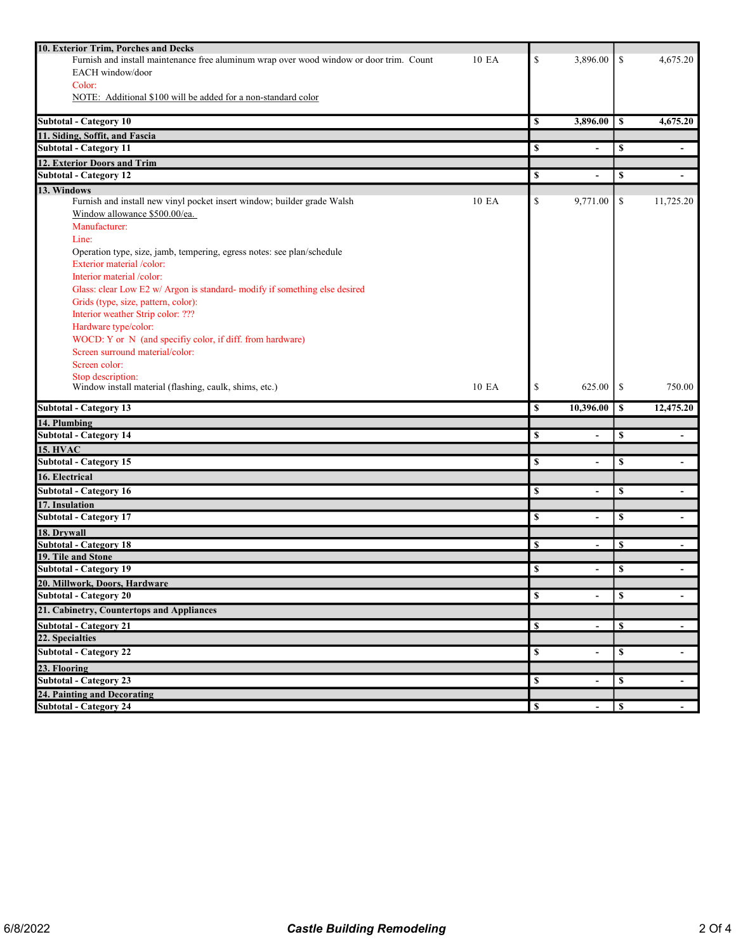| 10. Exterior Trim, Porches and Decks                                                             |             |                          |               |                          |
|--------------------------------------------------------------------------------------------------|-------------|--------------------------|---------------|--------------------------|
| Furnish and install maintenance free aluminum wrap over wood window or door trim. Count<br>10 EA | \$          | 3,896.00                 | \$            | 4,675.20                 |
| EACH window/door                                                                                 |             |                          |               |                          |
| Color:                                                                                           |             |                          |               |                          |
| NOTE: Additional \$100 will be added for a non-standard color                                    |             |                          |               |                          |
| <b>Subtotal - Category 10</b>                                                                    | \$          | 3,896.00                 | <sup>\$</sup> | 4,675.20                 |
| 11. Siding, Soffit, and Fascia                                                                   |             |                          |               |                          |
| <b>Subtotal - Category 11</b>                                                                    | \$          | $\overline{\phantom{a}}$ | \$            |                          |
| 12. Exterior Doors and Trim                                                                      |             |                          |               |                          |
| <b>Subtotal - Category 12</b>                                                                    | \$          | $\blacksquare$           | \$            | $\blacksquare$           |
| 13. Windows                                                                                      |             |                          |               |                          |
| Furnish and install new vinyl pocket insert window; builder grade Walsh<br>10 EA                 | \$          | 9,771.00                 | \$            | 11,725.20                |
| Window allowance \$500.00/ea.                                                                    |             |                          |               |                          |
| Manufacturer:                                                                                    |             |                          |               |                          |
| Line:                                                                                            |             |                          |               |                          |
| Operation type, size, jamb, tempering, egress notes: see plan/schedule                           |             |                          |               |                          |
| Exterior material /color:                                                                        |             |                          |               |                          |
| Interior material /color:                                                                        |             |                          |               |                          |
| Glass: clear Low E2 w/ Argon is standard- modify if something else desired                       |             |                          |               |                          |
| Grids (type, size, pattern, color):                                                              |             |                          |               |                          |
| Interior weather Strip color: ???                                                                |             |                          |               |                          |
| Hardware type/color:                                                                             |             |                          |               |                          |
| WOCD: Y or N (and specifiy color, if diff. from hardware)                                        |             |                          |               |                          |
| Screen surround material/color:                                                                  |             |                          |               |                          |
| Screen color:                                                                                    |             |                          |               |                          |
| Stop description:                                                                                |             |                          |               |                          |
| Window install material (flashing, caulk, shims, etc.)<br>10 EA                                  | \$          | 625.00                   | \$            | 750.00                   |
| <b>Subtotal - Category 13</b>                                                                    |             |                          |               |                          |
|                                                                                                  | \$          | 10,396.00                | \$            | 12,475.20                |
| 14. Plumbing                                                                                     |             |                          |               |                          |
| <b>Subtotal - Category 14</b>                                                                    | \$          | $\overline{\phantom{a}}$ | \$            |                          |
| <b>15. HVAC</b>                                                                                  |             |                          |               |                          |
| <b>Subtotal - Category 15</b>                                                                    | \$          | $\overline{\phantom{a}}$ | \$            | $\blacksquare$           |
| 16. Electrical                                                                                   |             |                          |               |                          |
| <b>Subtotal - Category 16</b>                                                                    | \$          | $\overline{\phantom{a}}$ | \$            | $\overline{\phantom{a}}$ |
| 17. Insulation                                                                                   |             |                          |               |                          |
| <b>Subtotal - Category 17</b>                                                                    | \$          |                          | \$            |                          |
| 18. Drywall                                                                                      |             |                          |               |                          |
| <b>Subtotal - Category 18</b>                                                                    | \$          |                          | \$            |                          |
| 19. Tile and Stone                                                                               |             |                          |               |                          |
| <b>Subtotal - Category 19</b>                                                                    | \$          |                          | \$            |                          |
| <b>20. Millwork, Doors, Hardware</b>                                                             |             |                          |               |                          |
| <b>Subtotal - Category 20</b>                                                                    | \$          |                          | \$            |                          |
| 21. Cabinetry, Countertops and Appliances                                                        |             |                          |               |                          |
| <b>Subtotal - Category 21</b>                                                                    | \$          |                          | \$            |                          |
| 22. Specialties                                                                                  |             |                          |               |                          |
| <b>Subtotal - Category 22</b>                                                                    | \$          | $\blacksquare$           | \$            |                          |
| 23. Flooring                                                                                     |             |                          |               |                          |
| <b>Subtotal - Category 23</b>                                                                    | $\mathbf s$ | $\blacksquare$           | \$            |                          |
| 24. Painting and Decorating<br><b>Subtotal - Category 24</b>                                     | \$          |                          | \$            |                          |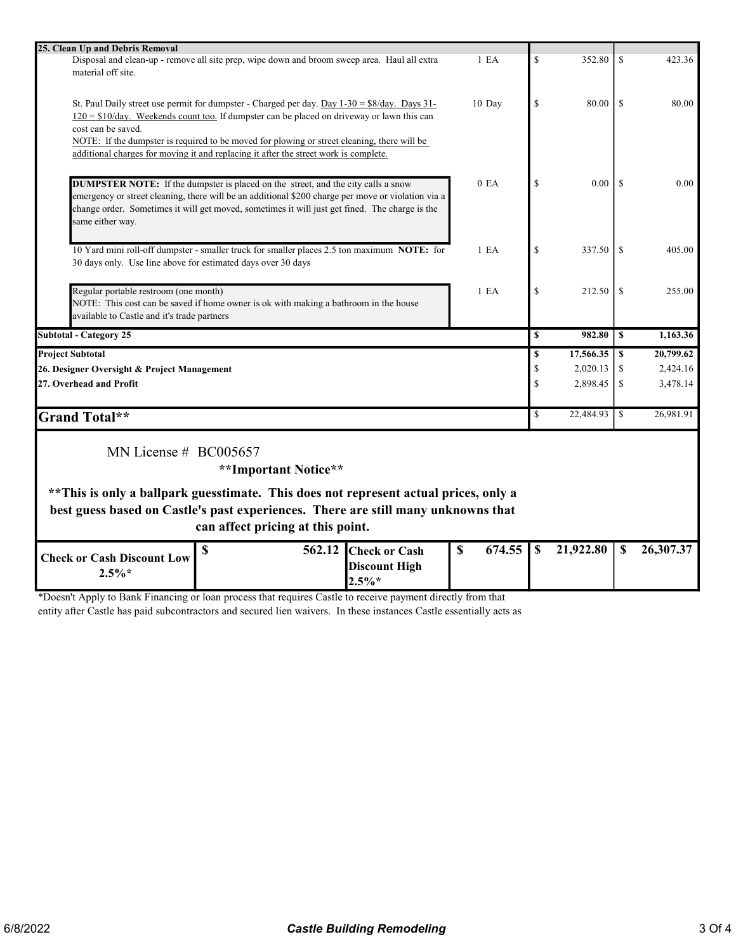| 25. Clean Up and Debris Removal                                                                                                                                                                |                  |                         |           |               |           |
|------------------------------------------------------------------------------------------------------------------------------------------------------------------------------------------------|------------------|-------------------------|-----------|---------------|-----------|
| Disposal and clean-up - remove all site prep, wipe down and broom sweep area. Haul all extra                                                                                                   | 1 <sub>E</sub> A | $\mathbf S$             | 352.80    | \$.           | 423.36    |
| material off site.                                                                                                                                                                             |                  |                         |           |               |           |
|                                                                                                                                                                                                |                  |                         |           |               |           |
| St. Paul Daily street use permit for dumpster - Charged per day. Day $1-30 = $8/day$ . Days $31-$                                                                                              | 10 Day           | $\mathbf S$             | 80.00     | $\mathcal{S}$ | 80.00     |
| $120 = $10/day$ . Weekends count too. If dumpster can be placed on driveway or lawn this can                                                                                                   |                  |                         |           |               |           |
| cost can be saved.                                                                                                                                                                             |                  |                         |           |               |           |
| NOTE: If the dumpster is required to be moved for plowing or street cleaning, there will be                                                                                                    |                  |                         |           |               |           |
| additional charges for moving it and replacing it after the street work is complete.                                                                                                           |                  |                         |           |               |           |
|                                                                                                                                                                                                |                  |                         |           |               |           |
|                                                                                                                                                                                                | 0 E <sub>A</sub> | <sup>\$</sup>           | 0.00      | -S            | 0.00      |
| <b>DUMPSTER NOTE:</b> If the dumpster is placed on the street, and the city calls a snow<br>emergency or street cleaning, there will be an additional \$200 charge per move or violation via a |                  |                         |           |               |           |
| change order. Sometimes it will get moved, sometimes it will just get fined. The charge is the                                                                                                 |                  |                         |           |               |           |
| same either way.                                                                                                                                                                               |                  |                         |           |               |           |
|                                                                                                                                                                                                |                  |                         |           |               |           |
| 10 Yard mini roll-off dumpster - smaller truck for smaller places 2.5 ton maximum NOTE: for                                                                                                    | 1 E <sub>A</sub> | $\mathbb{S}$            | 337.50    | <sup>\$</sup> | 405.00    |
| 30 days only. Use line above for estimated days over 30 days                                                                                                                                   |                  |                         |           |               |           |
|                                                                                                                                                                                                |                  |                         |           |               |           |
| Regular portable restroom (one month)                                                                                                                                                          | 1 E <sub>A</sub> | $\mathbb{S}$            | 212.50    | <sup>\$</sup> | 255.00    |
| NOTE: This cost can be saved if home owner is ok with making a bathroom in the house                                                                                                           |                  |                         |           |               |           |
| available to Castle and it's trade partners                                                                                                                                                    |                  |                         |           |               |           |
|                                                                                                                                                                                                |                  | S                       | 982.80    | S             | 1,163.36  |
| <b>Subtotal - Category 25</b>                                                                                                                                                                  |                  |                         |           |               |           |
| <b>Project Subtotal</b>                                                                                                                                                                        |                  | \$                      | 17,566.35 | \$            | 20,799.62 |
| 26. Designer Oversight & Project Management                                                                                                                                                    |                  | $\mathbb{S}$            | 2,020.13  | \$            | 2,424.16  |
| 27. Overhead and Profit                                                                                                                                                                        |                  | \$                      | 2,898.45  | \$            | 3,478.14  |
|                                                                                                                                                                                                |                  |                         |           |               |           |
| <b>Grand Total**</b>                                                                                                                                                                           |                  | $\overline{\mathbf{S}}$ | 22,484.93 | \$            | 26,981.91 |
|                                                                                                                                                                                                |                  |                         |           |               |           |
| MN License $# BCO05657$                                                                                                                                                                        |                  |                         |           |               |           |
| **Important Notice**                                                                                                                                                                           |                  |                         |           |               |           |
|                                                                                                                                                                                                |                  |                         |           |               |           |
| ** This is only a ballpark guesstimate. This does not represent actual prices, only a                                                                                                          |                  |                         |           |               |           |
| best guess based on Castle's past experiences. There are still many unknowns that                                                                                                              |                  |                         |           |               |           |
| can affect pricing at this point.                                                                                                                                                              |                  |                         |           |               |           |
|                                                                                                                                                                                                |                  |                         |           |               |           |
| \$<br>562.12 Check or Cash<br><b>Check or Cash Discount Low</b>                                                                                                                                | \$<br>674.55     | $\mathbf S$             | 21,922.80 | S             | 26,307.37 |
| <b>Discount High</b>                                                                                                                                                                           |                  |                         |           |               |           |
| $2.5\%*$<br>$2.5\%*$                                                                                                                                                                           |                  |                         |           |               |           |

\*Doesn't Apply to Bank Financing or loan process that requires Castle to receive payment directly from that entity after Castle has paid subcontractors and secured lien waivers. In these instances Castle essentially acts as